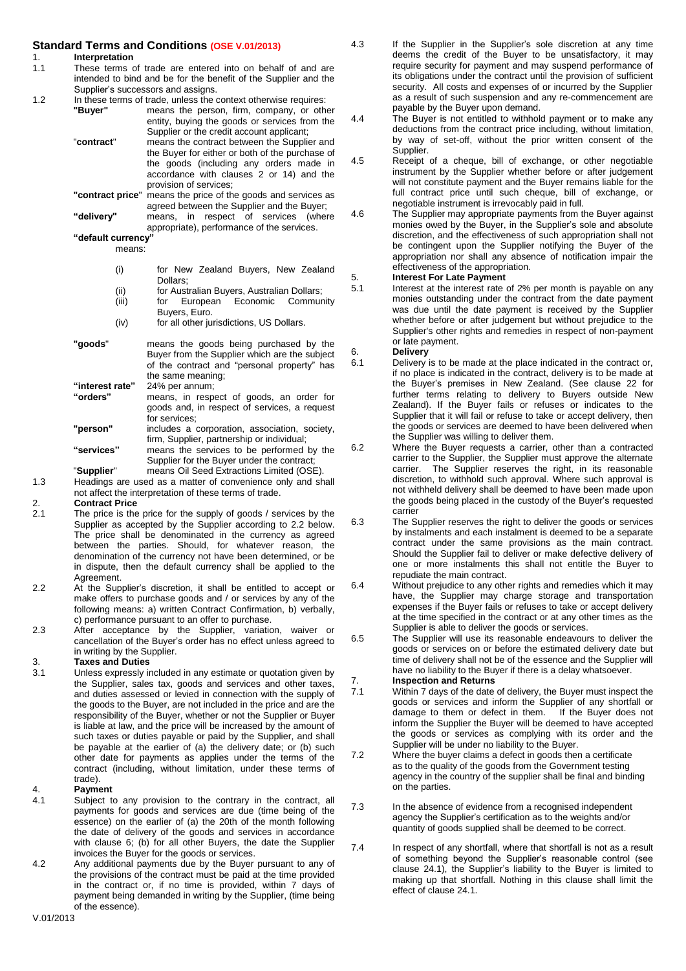# **Standard Terms and Conditions (OSE V.01/2013)**<br>1. Interpretation

# 1. **Interpretation**<br>1.1 These terms of

- These terms of trade are entered into on behalf of and are intended to bind and be for the benefit of the Supplier and the Supplier's successors and assigns.
- 1.2 In these terms of trade, unless the context otherwise requires:<br>"Buyer" means the person, firm, company, or oth
	- means the person, firm, company, or other entity, buying the goods or services from the Supplier or the credit account applicant;
	- "**contract**" means the contract between the Supplier and the Buyer for either or both of the purchase of the goods (including any orders made in accordance with clauses 2 or 14) and the provision of services;
		- **"contract price**" means the price of the goods and services as agreed between the Supplier and the Buyer; **"delivery"** means, in respect of services (where

appropriate), performance of the services. **"default currency"** 

- means:
	- (i) for New Zealand Buyers, New Zealand Dollars;
	- (ii) for Australian Buyers, Australian Dollars;
	- Economic Community Buyers, Euro.
	- (iv) for all other jurisdictions, US Dollars.
- **"goods**" means the goods being purchased by the Buyer from the Supplier which are the subject of the contract and "personal property" has the same meaning; **"interest rate"** 24% per annum; means, in respect of goods, an order for
- goods and, in respect of services, a request for services; **"person"** includes a corporation, association, society, firm, Supplier, partnership or individual;
- **"services"** means the services to be performed by the Supplier for the Buyer under the contract; "**Supplier**" means Oil Seed Extractions Limited (OSE).
- 

1.3 Headings are used as a matter of convenience only and shall not affect the interpretation of these terms of trade.

- 2. **Contract Price** The price is the price for the supply of goods / services by the Supplier as accepted by the Supplier according to 2.2 below. The price shall be denominated in the currency as agreed between the parties. Should, for whatever reason, the denomination of the currency not have been determined, or be in dispute, then the default currency shall be applied to the Agreement.
- 2.2 At the Supplier's discretion, it shall be entitled to accept or make offers to purchase goods and / or services by any of the following means: a) written Contract Confirmation, b) verbally, c) performance pursuant to an offer to purchase.
- 2.3 After acceptance by the Supplier, variation, waiver or cancellation of the Buyer's order has no effect unless agreed to in writing by the Supplier.

### 3. **Taxes and Duties**

- Unless expressly included in any estimate or quotation given by the Supplier, sales tax, goods and services and other taxes, and duties assessed or levied in connection with the supply of the goods to the Buyer, are not included in the price and are the responsibility of the Buyer, whether or not the Supplier or Buyer is liable at law, and the price will be increased by the amount of such taxes or duties payable or paid by the Supplier, and shall be payable at the earlier of (a) the delivery date; or (b) such other date for payments as applies under the terms of the contract (including, without limitation, under these terms of trade).
- 4. **Payment**<br>4.1 Subject to
- Subject to any provision to the contrary in the contract, all payments for goods and services are due (time being of the essence) on the earlier of (a) the 20th of the month following the date of delivery of the goods and services in accordance with clause 6; (b) for all other Buyers, the date the Supplier invoices the Buyer for the goods or services.
- 4.2 Any additional payments due by the Buyer pursuant to any of the provisions of the contract must be paid at the time provided in the contract or, if no time is provided, within 7 days of payment being demanded in writing by the Supplier, (time being of the essence).

4.3 If the Supplier in the Supplier's sole discretion at any time deems the credit of the Buyer to be unsatisfactory, it may require security for payment and may suspend performance of its obligations under the contract until the provision of sufficient security. All costs and expenses of or incurred by the Supplier as a result of such suspension and any re-commencement are payable by the Buyer upon demand.

4.4 The Buyer is not entitled to withhold payment or to make any deductions from the contract price including, without limitation, by way of set-off, without the prior written consent of the Supplier.

4.5 Receipt of a cheque, bill of exchange, or other negotiable instrument by the Supplier whether before or after judgement will not constitute payment and the Buyer remains liable for the full contract price until such cheque, bill of exchange, or negotiable instrument is irrevocably paid in full.

4.6 The Supplier may appropriate payments from the Buyer against monies owed by the Buyer, in the Supplier's sole and absolute discretion, and the effectiveness of such appropriation shall not be contingent upon the Supplier notifying the Buyer of the appropriation nor shall any absence of notification impair the effectiveness of the appropriation.

## 5. **Interest For Late Payment**

Interest at the interest rate of 2% per month is payable on any monies outstanding under the contract from the date payment was due until the date payment is received by the Supplier whether before or after judgement but without prejudice to the Supplier's other rights and remedies in respect of non-payment or late payment.

- 6. **Delivery** Delivery is to be made at the place indicated in the contract or, if no place is indicated in the contract, delivery is to be made at the Buyer's premises in New Zealand. (See clause 22 for further terms relating to delivery to Buyers outside New Zealand). If the Buyer fails or refuses or indicates to the Supplier that it will fail or refuse to take or accept delivery, then the goods or services are deemed to have been delivered when the Supplier was willing to deliver them.
- 6.2 Where the Buyer requests a carrier, other than a contracted carrier to the Supplier, the Supplier must approve the alternate carrier. The Supplier reserves the right, in its reasonable discretion, to withhold such approval. Where such approval is not withheld delivery shall be deemed to have been made upon the goods being placed in the custody of the Buyer's requested carrier
- 6.3 The Supplier reserves the right to deliver the goods or services by instalments and each instalment is deemed to be a separate contract under the same provisions as the main contract. Should the Supplier fail to deliver or make defective delivery of one or more instalments this shall not entitle the Buyer to repudiate the main contract.
- 6.4 Without prejudice to any other rights and remedies which it may have, the Supplier may charge storage and transportation expenses if the Buyer fails or refuses to take or accept delivery at the time specified in the contract or at any other times as the Supplier is able to deliver the goods or services.
- 6.5 The Supplier will use its reasonable endeavours to deliver the goods or services on or before the estimated delivery date but time of delivery shall not be of the essence and the Supplier will have no liability to the Buyer if there is a delay whatsoever.
- 7. **Inspection and Returns** Within 7 days of the date of delivery, the Buyer must inspect the goods or services and inform the Supplier of any shortfall or damage to them or defect in them. If the Buyer does not damage to them or defect in them.
- inform the Supplier the Buyer will be deemed to have accepted the goods or services as complying with its order and the Supplier will be under no liability to the Buyer. 7.2 Where the buyer claims a defect in goods then a certificate
- as to the quality of the goods from the Government testing agency in the country of the supplier shall be final and binding on the parties.
- 7.3 In the absence of evidence from a recognised independent agency the Supplier's certification as to the weights and/or quantity of goods supplied shall be deemed to be correct.
- 7.4 In respect of any shortfall, where that shortfall is not as a result of something beyond the Supplier's reasonable control (see clause 24.1), the Supplier's liability to the Buyer is limited to making up that shortfall. Nothing in this clause shall limit the effect of clause 24.1.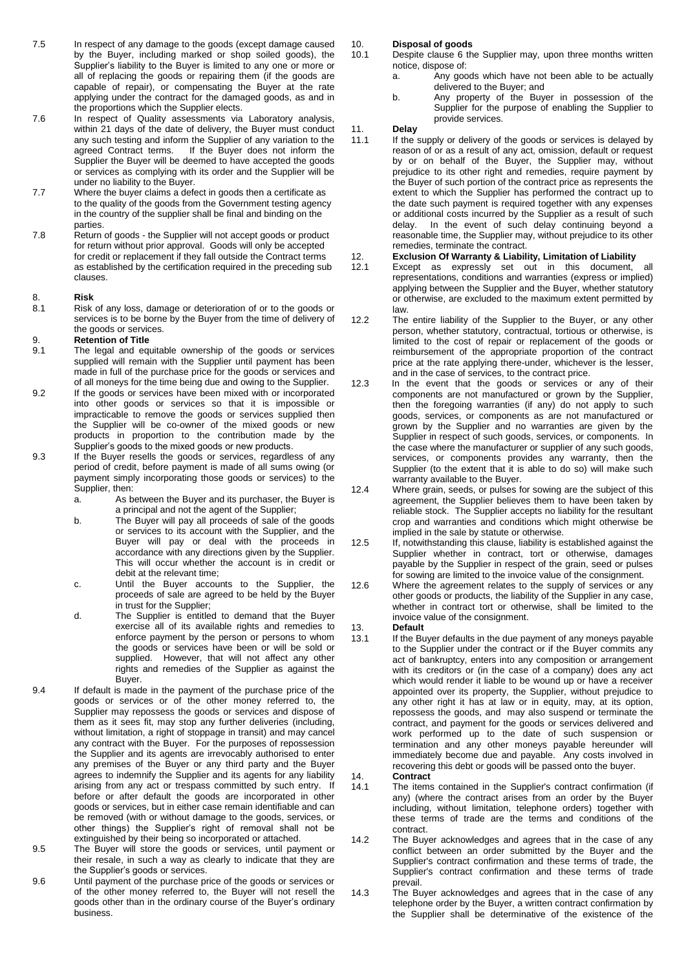- 7.5 In respect of any damage to the goods (except damage caused by the Buyer, including marked or shop soiled goods), the Supplier's liability to the Buyer is limited to any one or more or all of replacing the goods or repairing them (if the goods are capable of repair), or compensating the Buyer at the rate applying under the contract for the damaged goods, as and in the proportions which the Supplier elects.
- 7.6 In respect of Quality assessments via Laboratory analysis, within 21 days of the date of delivery, the Buyer must conduct any such testing and inform the Supplier of any variation to the agreed Contract terms. If the Buyer does not inform the Supplier the Buyer will be deemed to have accepted the goods or services as complying with its order and the Supplier will be under no liability to the Buyer.
- 7.7 Where the buyer claims a defect in goods then a certificate as to the quality of the goods from the Government testing agency in the country of the supplier shall be final and binding on the parties.
- 7.8 Return of goods the Supplier will not accept goods or product for return without prior approval. Goods will only be accepted for credit or replacement if they fall outside the Contract terms as established by the certification required in the preceding sub clauses.

## 8. **Risk**

Risk of any loss, damage or deterioration of or to the goods or services is to be borne by the Buyer from the time of delivery of the goods or services.

### 9. **Retention of Title**

- The legal and equitable ownership of the goods or services supplied will remain with the Supplier until payment has been made in full of the purchase price for the goods or services and of all moneys for the time being due and owing to the Supplier.
- 9.2 If the goods or services have been mixed with or incorporated into other goods or services so that it is impossible or impracticable to remove the goods or services supplied then the Supplier will be co-owner of the mixed goods or new products in proportion to the contribution made by the Supplier's goods to the mixed goods or new products.
- 9.3 If the Buyer resells the goods or services, regardless of any period of credit, before payment is made of all sums owing (or payment simply incorporating those goods or services) to the Supplier, then:<br>a. As b
	- As between the Buyer and its purchaser, the Buyer is a principal and not the agent of the Supplier;
	- b. The Buyer will pay all proceeds of sale of the goods or services to its account with the Supplier, and the Buyer will pay or deal with the proceeds in accordance with any directions given by the Supplier. This will occur whether the account is in credit or debit at the relevant time;
	- c. Until the Buyer accounts to the Supplier, the proceeds of sale are agreed to be held by the Buyer in trust for the Supplier;
	- d. The Supplier is entitled to demand that the Buyer exercise all of its available rights and remedies to enforce payment by the person or persons to whom the goods or services have been or will be sold or supplied. However, that will not affect any other rights and remedies of the Supplier as against the Buyer.
- 9.4 If default is made in the payment of the purchase price of the goods or services or of the other money referred to, the Supplier may repossess the goods or services and dispose of them as it sees fit, may stop any further deliveries (including, without limitation, a right of stoppage in transit) and may cancel any contract with the Buyer. For the purposes of repossession the Supplier and its agents are irrevocably authorised to enter any premises of the Buyer or any third party and the Buyer agrees to indemnify the Supplier and its agents for any liability arising from any act or trespass committed by such entry. If before or after default the goods are incorporated in other goods or services, but in either case remain identifiable and can be removed (with or without damage to the goods, services, or other things) the Supplier's right of removal shall not be extinguished by their being so incorporated or attached.
- 9.5 The Buyer will store the goods or services, until payment or their resale, in such a way as clearly to indicate that they are the Supplier's goods or services.
- 9.6 Until payment of the purchase price of the goods or services or of the other money referred to, the Buyer will not resell the goods other than in the ordinary course of the Buyer's ordinary business.

### 10. **Disposal of goods**

- Despite clause 6 the Supplier may, upon three months written notice, dispose of:
	- a. Any goods which have not been able to be actually delivered to the Buyer; and
	- b. Any property of the Buyer in possession of the Supplier for the purpose of enabling the Supplier to provide services.

### 11. **Delay**

11.1 If the supply or delivery of the goods or services is delayed by reason of or as a result of any act, omission, default or request by or on behalf of the Buyer, the Supplier may, without prejudice to its other right and remedies, require payment by the Buyer of such portion of the contract price as represents the extent to which the Supplier has performed the contract up to the date such payment is required together with any expenses or additional costs incurred by the Supplier as a result of such delay. In the event of such delay continuing beyond a reasonable time, the Supplier may, without prejudice to its other remedies, terminate the contract.

### 12. **Exclusion Of Warranty & Liability, Limitation of Liability**

- 12.1 Except as expressly set out in this document, all representations, conditions and warranties (express or implied) applying between the Supplier and the Buyer, whether statutory or otherwise, are excluded to the maximum extent permitted by law.
- 12.2 The entire liability of the Supplier to the Buyer, or any other person, whether statutory, contractual, tortious or otherwise, is limited to the cost of repair or replacement of the goods or reimbursement of the appropriate proportion of the contract price at the rate applying there-under, whichever is the lesser, and in the case of services, to the contract price.
- 12.3 In the event that the goods or services or any of their components are not manufactured or grown by the Supplier, then the foregoing warranties (if any) do not apply to such goods, services, or components as are not manufactured or grown by the Supplier and no warranties are given by the Supplier in respect of such goods, services, or components. In the case where the manufacturer or supplier of any such goods, services, or components provides any warranty, then the Supplier (to the extent that it is able to do so) will make such warranty available to the Buyer.
- 12.4 Where grain, seeds, or pulses for sowing are the subject of this agreement, the Supplier believes them to have been taken by reliable stock. The Supplier accepts no liability for the resultant crop and warranties and conditions which might otherwise be implied in the sale by statute or otherwise.
- 12.5 If, notwithstanding this clause, liability is established against the Supplier whether in contract, tort or otherwise, damages payable by the Supplier in respect of the grain, seed or pulses for sowing are limited to the invoice value of the consignment.
- 12.6 Where the agreement relates to the supply of services or any other goods or products, the liability of the Supplier in any case, whether in contract tort or otherwise, shall be limited to the invoice value of the consignment.
- 13. **Default** 
	- If the Buyer defaults in the due payment of any moneys payable to the Supplier under the contract or if the Buyer commits any act of bankruptcy, enters into any composition or arrangement with its creditors or (in the case of a company) does any act which would render it liable to be wound up or have a receiver appointed over its property, the Supplier, without prejudice to any other right it has at law or in equity, may, at its option, repossess the goods, and may also suspend or terminate the contract, and payment for the goods or services delivered and work performed up to the date of such suspension or termination and any other moneys payable hereunder will immediately become due and payable. Any costs involved in recovering this debt or goods will be passed onto the buyer.
- 14. **Contract**
- The items contained in the Supplier's contract confirmation (if any) (where the contract arises from an order by the Buyer including, without limitation, telephone orders) together with these terms of trade are the terms and conditions of the contract.
- 14.2 The Buyer acknowledges and agrees that in the case of any conflict between an order submitted by the Buyer and the Supplier's contract confirmation and these terms of trade, the Supplier's contract confirmation and these terms of trade prevail.
- 14.3 The Buyer acknowledges and agrees that in the case of any telephone order by the Buyer, a written contract confirmation by the Supplier shall be determinative of the existence of the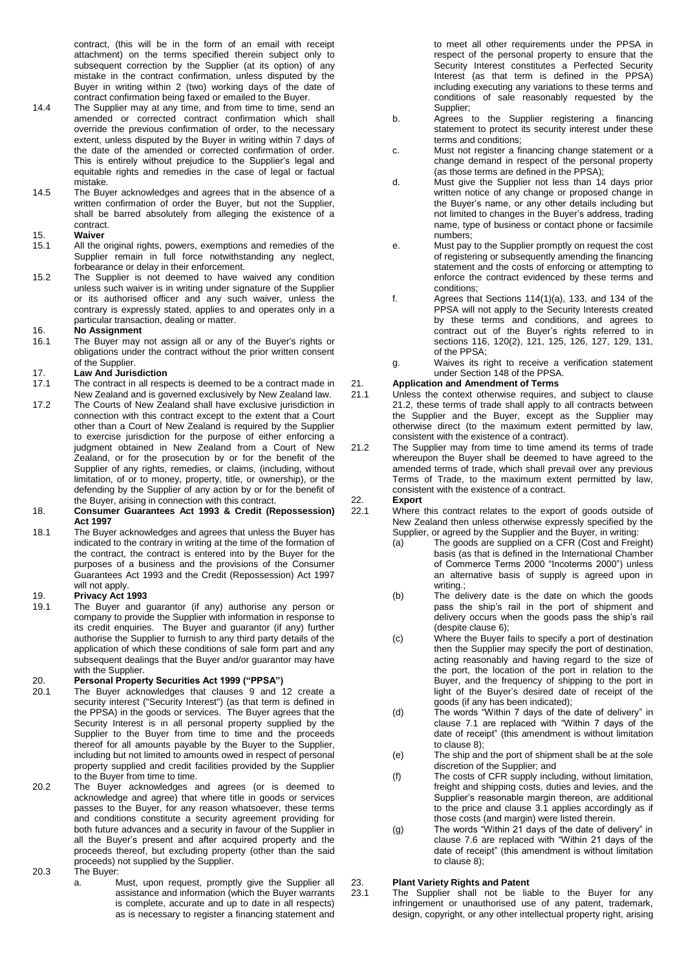contract, (this will be in the form of an email with receipt attachment) on the terms specified therein subject only to subsequent correction by the Supplier (at its option) of any mistake in the contract confirmation, unless disputed by the Buyer in writing within 2 (two) working days of the date of contract confirmation being faxed or emailed to the Buyer.

- 14.4 The Supplier may at any time, and from time to time, send an amended or corrected contract confirmation which shall override the previous confirmation of order, to the necessary extent, unless disputed by the Buyer in writing within 7 days of the date of the amended or corrected confirmation of order. This is entirely without prejudice to the Supplier's legal and equitable rights and remedies in the case of legal or factual mistake.
- 14.5 The Buyer acknowledges and agrees that in the absence of a written confirmation of order the Buyer, but not the Supplier, shall be barred absolutely from alleging the existence of a contract.

- 15. **Waiver** All the original rights, powers, exemptions and remedies of the Supplier remain in full force notwithstanding any neglect, forbearance or delay in their enforcement.
- 15.2 The Supplier is not deemed to have waived any condition unless such waiver is in writing under signature of the Supplier or its authorised officer and any such waiver, unless the contrary is expressly stated, applies to and operates only in a particular transaction, dealing or matter.

### 16. **No Assignment**

16.1 The Buyer may not assign all or any of the Buyer's rights or obligations under the contract without the prior written consent of the Supplier.

# 17. **Law And Jurisdiction**

- The contract in all respects is deemed to be a contract made in New Zealand and is governed exclusively by New Zealand law.
- 17.2 The Courts of New Zealand shall have exclusive jurisdiction in connection with this contract except to the extent that a Court other than a Court of New Zealand is required by the Supplier to exercise jurisdiction for the purpose of either enforcing a judgment obtained in New Zealand from a Court of New Zealand, or for the prosecution by or for the benefit of the Supplier of any rights, remedies, or claims, (including, without limitation, of or to money, property, title, or ownership), or the defending by the Supplier of any action by or for the benefit of the Buyer, arising in connection with this contract.
- 18. **Consumer Guarantees Act 1993 & Credit (Repossession) Act 1997**
- 18.1 The Buyer acknowledges and agrees that unless the Buyer has indicated to the contrary in writing at the time of the formation of the contract, the contract is entered into by the Buyer for the purposes of a business and the provisions of the Consumer Guarantees Act 1993 and the Credit (Repossession) Act 1997 will not apply.

## 19. **Privacy Act 1993**

The Buyer and guarantor (if any) authorise any person or company to provide the Supplier with information in response to its credit enquiries. The Buyer and guarantor (if any) further authorise the Supplier to furnish to any third party details of the application of which these conditions of sale form part and any subsequent dealings that the Buyer and/or guarantor may have with the Supplier.

## 20. **Personal Property Securities Act 1999 ("PPSA")**

- The Buyer acknowledges that clauses 9 and 12 create a security interest ("Security Interest") (as that term is defined in the PPSA) in the goods or services. The Buyer agrees that the Security Interest is in all personal property supplied by the Supplier to the Buyer from time to time and the proceeds thereof for all amounts payable by the Buyer to the Supplier, including but not limited to amounts owed in respect of personal property supplied and credit facilities provided by the Supplier to the Buyer from time to time.
- 20.2 The Buyer acknowledges and agrees (or is deemed to acknowledge and agree) that where title in goods or services passes to the Buyer, for any reason whatsoever, these terms and conditions constitute a security agreement providing for both future advances and a security in favour of the Supplier in all the Buyer's present and after acquired property and the proceeds thereof, but excluding property (other than the said proceeds) not supplied by the Supplier.
- 20.3 The Buyer:
	- a. Must, upon request, promptly give the Supplier all assistance and information (which the Buyer warrants is complete, accurate and up to date in all respects) as is necessary to register a financing statement and

to meet all other requirements under the PPSA in respect of the personal property to ensure that the Security Interest constitutes a Perfected Security Interest (as that term is defined in the PPSA) including executing any variations to these terms and conditions of sale reasonably requested by the Supplier;

- b. Agrees to the Supplier registering a financing statement to protect its security interest under these terms and conditions;
- c. Must not register a financing change statement or a change demand in respect of the personal property (as those terms are defined in the PPSA);
- d. Must give the Supplier not less than  $14$  days prior written notice of any change or proposed change in the Buyer's name, or any other details including but not limited to changes in the Buyer's address, trading name, type of business or contact phone or facsimile numbers;
- e. Must pay to the Supplier promptly on request the cost of registering or subsequently amending the financing statement and the costs of enforcing or attempting to enforce the contract evidenced by these terms and conditions;
- f. Agrees that Sections 114(1)(a), 133, and 134 of the PPSA will not apply to the Security Interests created by these terms and conditions, and agrees to contract out of the Buyer's rights referred to in sections 116, 120(2), 121, 125, 126, 127, 129, 131, of the PPSA;
- g. Waives its right to receive a verification statement under Section 148 of the PPSA.

## 21. **Application and Amendment of Terms**

- Unless the context otherwise requires, and subject to clause 21.2, these terms of trade shall apply to all contracts between the Supplier and the Buyer, except as the Supplier may otherwise direct (to the maximum extent permitted by law, consistent with the existence of a contract).
- 21.2 The Supplier may from time to time amend its terms of trade whereupon the Buyer shall be deemed to have agreed to the amended terms of trade, which shall prevail over any previous Terms of Trade, to the maximum extent permitted by law, consistent with the existence of a contract.

22. **Export**

- Where this contract relates to the export of goods outside of New Zealand then unless otherwise expressly specified by the Supplier, or agreed by the Supplier and the Buyer, in writing:
	- (a) The goods are supplied on a CFR (Cost and Freight) basis (as that is defined in the International Chamber of Commerce Terms 2000 "Incoterms 2000") unless an alternative basis of supply is agreed upon in writing.;
	- (b) The delivery date is the date on which the goods pass the ship's rail in the port of shipment and delivery occurs when the goods pass the ship's rail (despite clause 6);
	- (c) Where the Buyer fails to specify a port of destination then the Supplier may specify the port of destination, acting reasonably and having regard to the size of the port, the location of the port in relation to the Buyer, and the frequency of shipping to the port in light of the Buyer's desired date of receipt of the goods (if any has been indicated);
	- (d) The words "Within 7 days of the date of delivery" in clause 7.1 are replaced with "Within 7 days of the date of receipt" (this amendment is without limitation to clause 8);
	- (e) The ship and the port of shipment shall be at the sole discretion of the Supplier; and
	- (f) The costs of CFR supply including, without limitation, freight and shipping costs, duties and levies, and the Supplier's reasonable margin thereon, are additional to the price and clause 3.1 applies accordingly as if those costs (and margin) were listed therein.
	- (g) The words "Within 21 days of the date of delivery" in clause 7.6 are replaced with "Within 21 days of the date of receipt" (this amendment is without limitation to clause 8);

### 23. **Plant Variety Rights and Patent**

23.1 The Supplier shall not be liable to the Buyer for any infringement or unauthorised use of any patent, trademark, design, copyright, or any other intellectual property right, arising